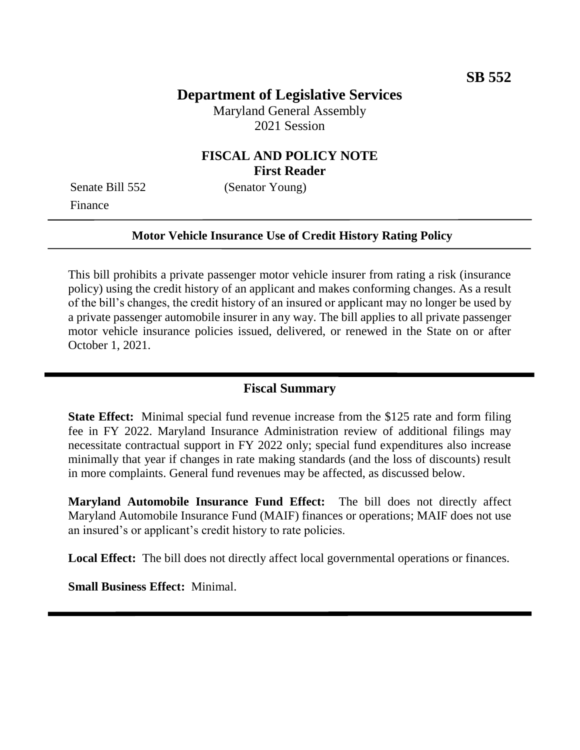# **Department of Legislative Services**

Maryland General Assembly 2021 Session

### **FISCAL AND POLICY NOTE First Reader**

Finance

Senate Bill 552 (Senator Young)

#### **Motor Vehicle Insurance Use of Credit History Rating Policy**

This bill prohibits a private passenger motor vehicle insurer from rating a risk (insurance policy) using the credit history of an applicant and makes conforming changes. As a result of the bill's changes, the credit history of an insured or applicant may no longer be used by a private passenger automobile insurer in any way. The bill applies to all private passenger motor vehicle insurance policies issued, delivered, or renewed in the State on or after October 1, 2021.

### **Fiscal Summary**

**State Effect:** Minimal special fund revenue increase from the \$125 rate and form filing fee in FY 2022. Maryland Insurance Administration review of additional filings may necessitate contractual support in FY 2022 only; special fund expenditures also increase minimally that year if changes in rate making standards (and the loss of discounts) result in more complaints. General fund revenues may be affected, as discussed below.

**Maryland Automobile Insurance Fund Effect:** The bill does not directly affect Maryland Automobile Insurance Fund (MAIF) finances or operations; MAIF does not use an insured's or applicant's credit history to rate policies.

Local Effect: The bill does not directly affect local governmental operations or finances.

**Small Business Effect:** Minimal.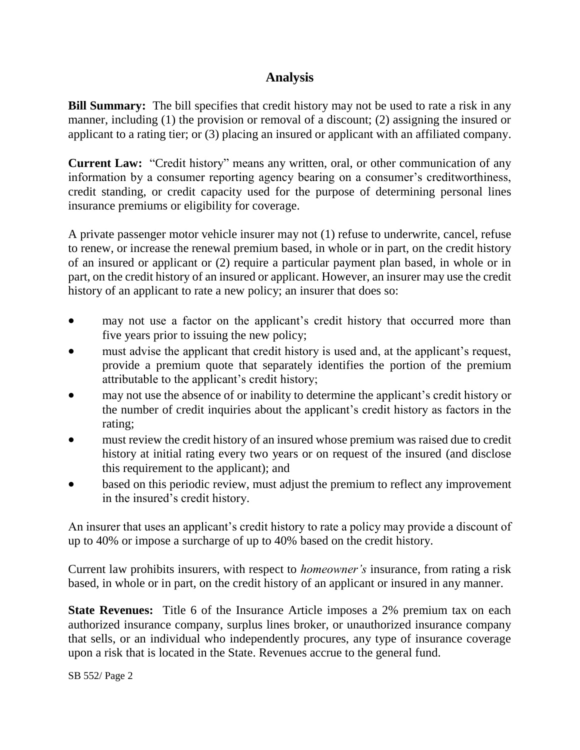# **Analysis**

**Bill Summary:** The bill specifies that credit history may not be used to rate a risk in any manner, including (1) the provision or removal of a discount; (2) assigning the insured or applicant to a rating tier; or (3) placing an insured or applicant with an affiliated company.

**Current Law:** "Credit history" means any written, oral, or other communication of any information by a consumer reporting agency bearing on a consumer's creditworthiness, credit standing, or credit capacity used for the purpose of determining personal lines insurance premiums or eligibility for coverage.

A private passenger motor vehicle insurer may not (1) refuse to underwrite, cancel, refuse to renew, or increase the renewal premium based, in whole or in part, on the credit history of an insured or applicant or (2) require a particular payment plan based, in whole or in part, on the credit history of an insured or applicant. However, an insurer may use the credit history of an applicant to rate a new policy; an insurer that does so:

- may not use a factor on the applicant's credit history that occurred more than five years prior to issuing the new policy;
- must advise the applicant that credit history is used and, at the applicant's request, provide a premium quote that separately identifies the portion of the premium attributable to the applicant's credit history;
- may not use the absence of or inability to determine the applicant's credit history or the number of credit inquiries about the applicant's credit history as factors in the rating;
- must review the credit history of an insured whose premium was raised due to credit history at initial rating every two years or on request of the insured (and disclose this requirement to the applicant); and
- based on this periodic review, must adjust the premium to reflect any improvement in the insured's credit history.

An insurer that uses an applicant's credit history to rate a policy may provide a discount of up to 40% or impose a surcharge of up to 40% based on the credit history.

Current law prohibits insurers, with respect to *homeowner's* insurance, from rating a risk based, in whole or in part, on the credit history of an applicant or insured in any manner.

**State Revenues:** Title 6 of the Insurance Article imposes a 2% premium tax on each authorized insurance company, surplus lines broker, or unauthorized insurance company that sells, or an individual who independently procures, any type of insurance coverage upon a risk that is located in the State. Revenues accrue to the general fund.

SB 552/ Page 2